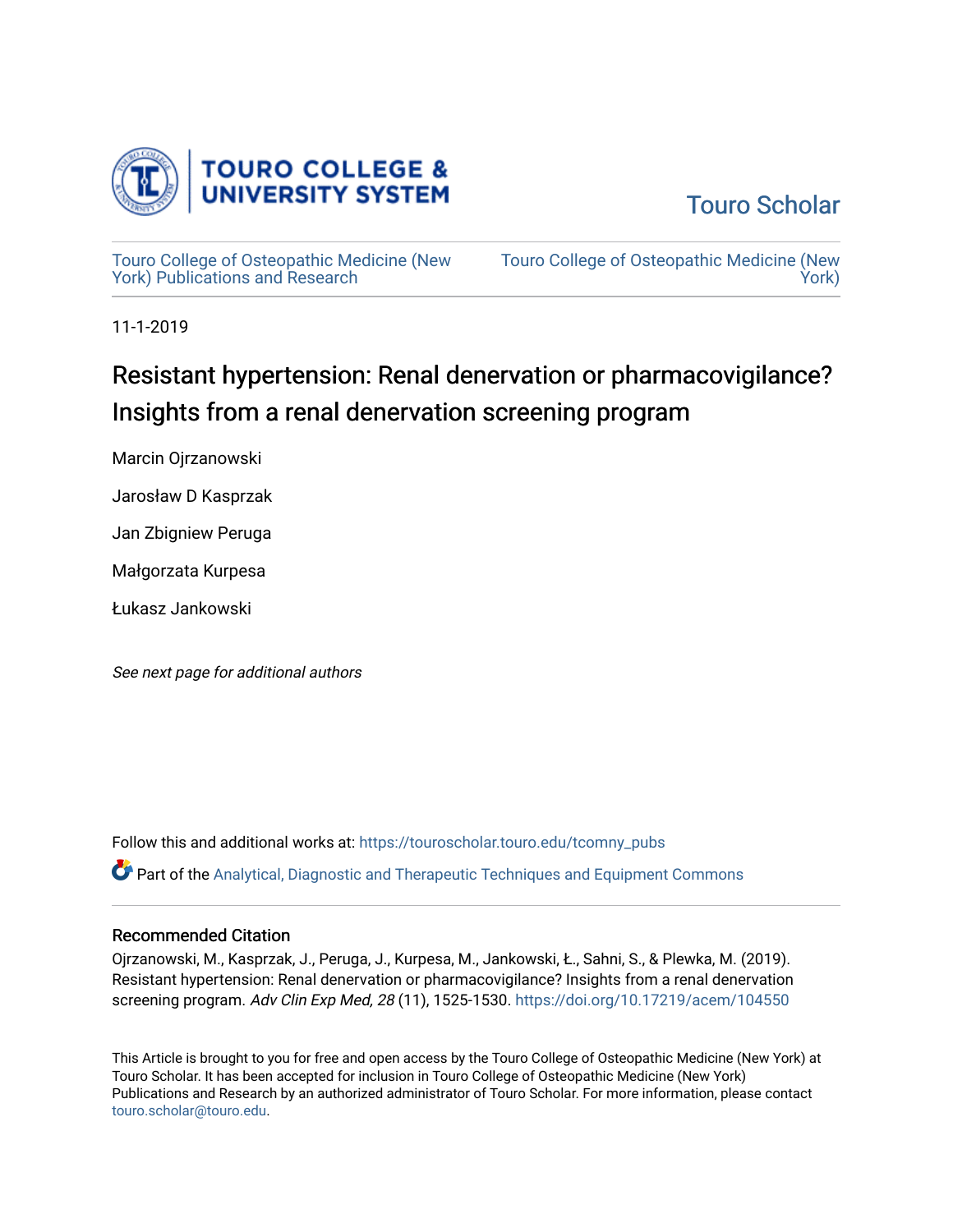

[Touro Scholar](https://touroscholar.touro.edu/) 

[Touro College of Osteopathic Medicine \(New](https://touroscholar.touro.edu/tcomny_pubs)  [York\) Publications and Research](https://touroscholar.touro.edu/tcomny_pubs)

[Touro College of Osteopathic Medicine \(New](https://touroscholar.touro.edu/tcomny)  [York\)](https://touroscholar.touro.edu/tcomny) 

11-1-2019

# Resistant hypertension: Renal denervation or pharmacovigilance? Insights from a renal denervation screening program

Marcin Ojrzanowski

Jarosław D Kasprzak

Jan Zbigniew Peruga

Małgorzata Kurpesa

Łukasz Jankowski

See next page for additional authors

Follow this and additional works at: [https://touroscholar.touro.edu/tcomny\\_pubs](https://touroscholar.touro.edu/tcomny_pubs?utm_source=touroscholar.touro.edu%2Ftcomny_pubs%2F108&utm_medium=PDF&utm_campaign=PDFCoverPages) 

Part of the [Analytical, Diagnostic and Therapeutic Techniques and Equipment Commons](http://network.bepress.com/hgg/discipline/899?utm_source=touroscholar.touro.edu%2Ftcomny_pubs%2F108&utm_medium=PDF&utm_campaign=PDFCoverPages)

### Recommended Citation

Ojrzanowski, M., Kasprzak, J., Peruga, J., Kurpesa, M., Jankowski, Ł., Sahni, S., & Plewka, M. (2019). Resistant hypertension: Renal denervation or pharmacovigilance? Insights from a renal denervation screening program. Adv Clin Exp Med, 28 (11), 1525-1530.<https://doi.org/10.17219/acem/104550>

This Article is brought to you for free and open access by the Touro College of Osteopathic Medicine (New York) at Touro Scholar. It has been accepted for inclusion in Touro College of Osteopathic Medicine (New York) Publications and Research by an authorized administrator of Touro Scholar. For more information, please contact [touro.scholar@touro.edu](mailto:touro.scholar@touro.edu).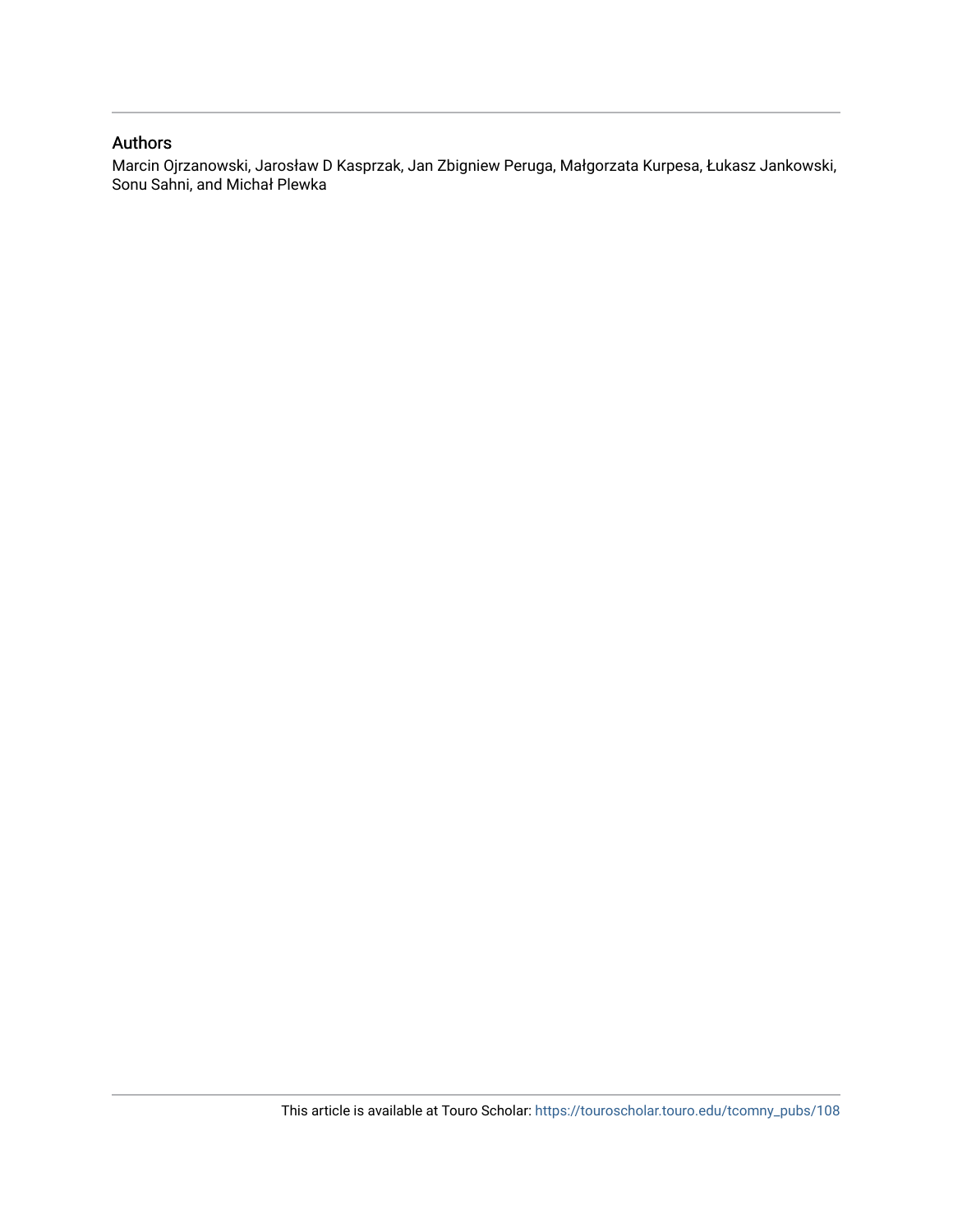### Authors

Marcin Ojrzanowski, Jarosław D Kasprzak, Jan Zbigniew Peruga, Małgorzata Kurpesa, Łukasz Jankowski, Sonu Sahni, and Michał Plewka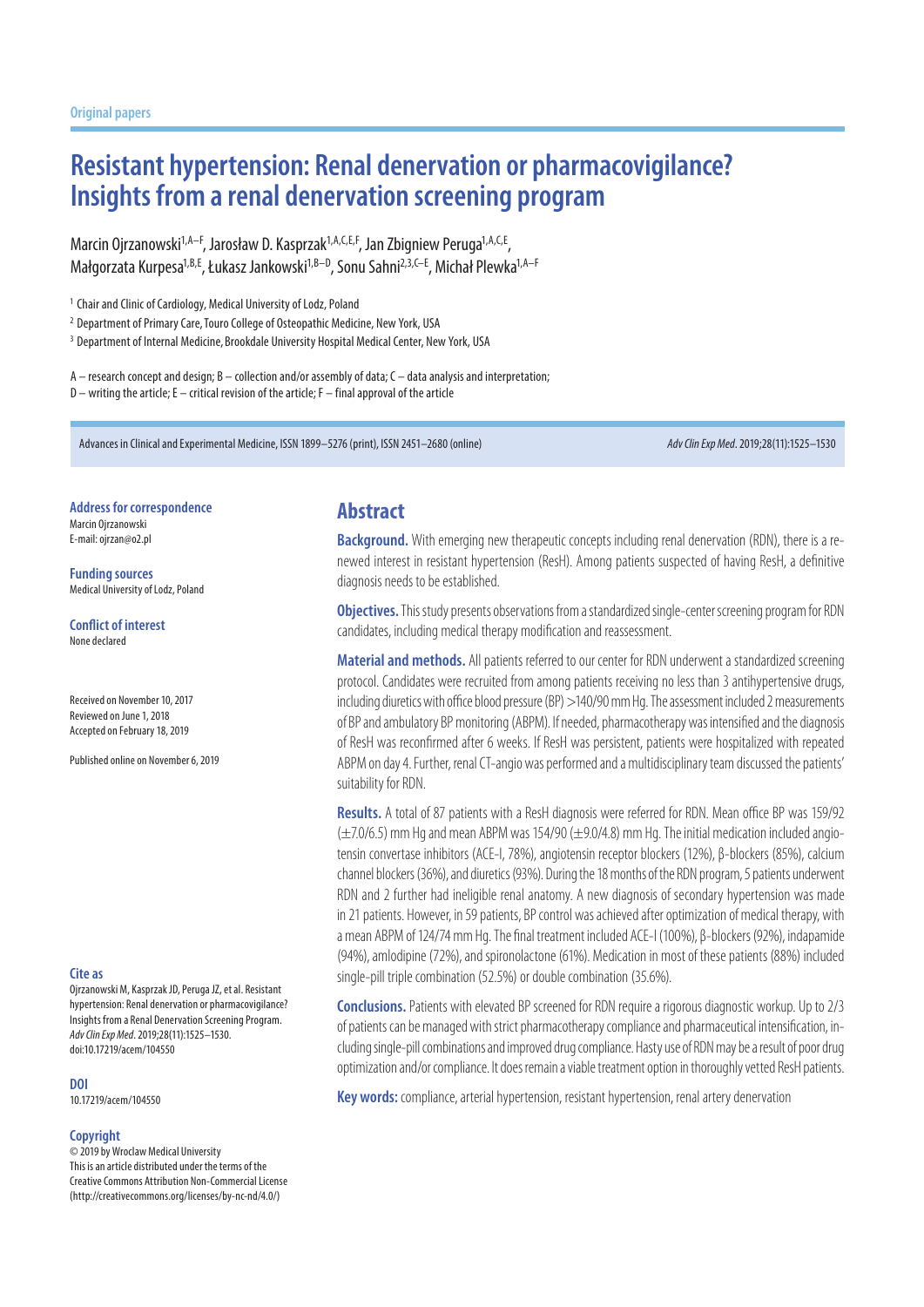# **Resistant hypertension: Renal denervation or pharmacovigilance? Insights from a renal denervation screening program**

Marcin Oirzanowski<sup>1,A–F</sup>, Jarosław D. Kasprzak<sup>1,A,C,E,F</sup>, Jan Zbigniew Peruga<sup>1,A,C,E</sup>, Małgorzata Kurpesa<sup>1, B, E</sup>, Łukasz Jankowski<sup>1, B–D</sup>, Sonu Sahni<sup>2, 3, C–E</sup>, Michał Plewka<sup>1, A–F</sup>

<sup>1</sup> Chair and Clinic of Cardiology, Medical University of Lodz, Poland

<sup>2</sup> Department of Primary Care, Touro College of Osteopathic Medicine, New York, USA

<sup>3</sup> Department of Internal Medicine, Brookdale University Hospital Medical Center, New York, USA

A – research concept and design; B – collection and/or assembly of data; C – data analysis and interpretation;  $D$  – writing the article; E – critical revision of the article; F – final approval of the article

Advances in Clinical and Experimental Medicine, ISSN 1899–5276 (print), ISSN 2451–2680 (online) *Adv Clin Exp Med*. 2019;28(11):1525–1530

**Address for correspondence** Marcin Ojrzanowski E-mail: ojrzan@o2.pl

**Funding sources** Medical University of Lodz, Poland

**Conflict of interest** None declared

Received on November 10, 2017 Reviewed on June 1, 2018 Accepted on February 18, 2019

Published online on November 6, 2019

#### **Cite as**

Ojrzanowski M, Kasprzak JD, Peruga JZ, et al. Resistant hypertension: Renal denervation or pharmacovigilance? Insights from a Renal Denervation Screening Program. *Adv Clin Exp Med*. 2019;28(11):1525–1530. doi:10.17219/acem/104550

#### **DOI**

10.17219/acem/104550

#### **Copyright**

© 2019 by Wroclaw Medical University This is an article distributed under the terms of the Creative Commons Attribution Non-Commercial License (http://creativecommons.org/licenses/by-nc-nd/4.0/)

## **Abstract**

**Background.** With emerging new therapeutic concepts including renal denervation (RDN), there is a renewed interest in resistant hypertension (ResH). Among patients suspected of having ResH, a definitive diagnosis needs to be established.

**Objectives.** This study presents observations from a standardized single-center screening program for RDN candidates, including medical therapy modification and reassessment.

**Material and methods.** All patients referred to our center for RDN underwent a standardized screening protocol. Candidates were recruited from among patients receiving no less than 3 antihypertensive drugs, including diuretics with office blood pressure (BP) >140/90 mm Hg. The assessment included 2 measurements of BP and ambulatory BP monitoring (ABPM). If needed, pharmacotherapy was intensified and the diagnosis of ResH was reconfirmed after 6 weeks. If ResH was persistent, patients were hospitalized with repeated ABPM on day 4. Further, renal CT-angio was performed and a multidisciplinary team discussed the patients' suitability for RDN.

Results. A total of 87 patients with a ResH diagnosis were referred for RDN. Mean office BP was 159/92  $(\pm 7.0/6.5)$  mm Hg and mean ABPM was 154/90 ( $\pm$ 9.0/4.8) mm Hg. The initial medication included angiotensin convertase inhibitors (ACE-I, 78%), angiotensin receptor blockers (12%), β-blockers (85%), calcium channel blockers (36%), and diuretics (93%). During the 18 months of the RDN program, 5 patients underwent RDN and 2 further had ineligible renal anatomy. A new diagnosis of secondary hypertension was made in 21 patients. However, in 59 patients, BP control was achieved after optimization of medical therapy, with a mean ABPM of 124/74 mm Hg. The final treatment included ACE-I (100%), β-blockers (92%), indapamide (94%), amlodipine (72%), and spironolactone (61%). Medication in most of these patients (88%) included single-pill triple combination (52.5%) or double combination (35.6%).

**Conclusions.** Patients with elevated BP screened for RDN require a rigorous diagnostic workup. Up to 2/3 ofpatients can be managed with strict pharmacotherapy compliance and pharmaceutical intensification, including single-pill combinations and improved drug compliance. Hasty use of RDN may be a result of poor drug optimization and/orcompliance. Itdoes remain aviable treatment option inthoroughly vetted ResH patients.

**Key words:** compliance, arterial hypertension, resistant hypertension, renal artery denervation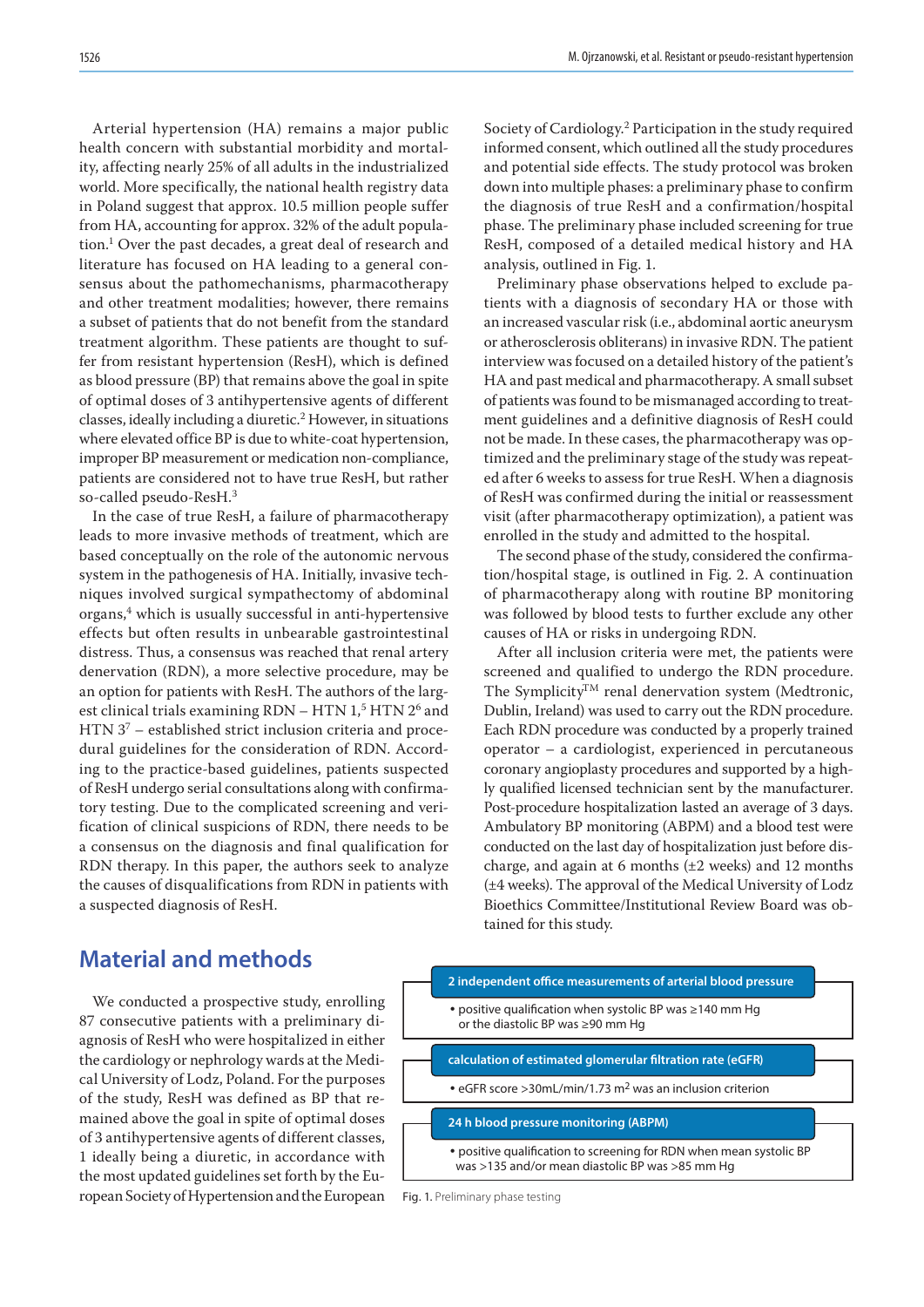Arterial hypertension (HA) remains a major public health concern with substantial morbidity and mortality, affecting nearly 25% of all adults in the industrialized world. More specifically, the national health registry data in Poland suggest that approx. 10.5 million people suffer from HA, accounting for approx. 32% of the adult population.<sup>1</sup> Over the past decades, a great deal of research and literature has focused on HA leading to a general consensus about the pathomechanisms, pharmacotherapy and other treatment modalities; however, there remains a subset of patients that do not benefit from the standard treatment algorithm. These patients are thought to suffer from resistant hypertension (ResH), which is defined as blood pressure (BP) that remains above the goal in spite of optimal doses of 3 antihypertensive agents of different classes, ideally including a diuretic.<sup>2</sup> However, in situations where elevated office BP is due to white-coat hypertension, improper BP measurement or medication non-compliance, patients are considered not to have true ResH, but rather so-called pseudo-ResH.<sup>3</sup>

In the case of true ResH, a failure of pharmacotherapy leads to more invasive methods of treatment, which are based conceptually on the role of the autonomic nervous system in the pathogenesis of HA. Initially, invasive techniques involved surgical sympathectomy of abdominal organs,4 which is usually successful in anti-hypertensive effects but often results in unbearable gastrointestinal distress. Thus, a consensus was reached that renal artery denervation (RDN), a more selective procedure, may be an option for patients with ResH. The authors of the largest clinical trials examining  $RDN - HTN 1<sup>5</sup> HTN 2<sup>6</sup>$  and  $HTN 3<sup>7</sup>$  – established strict inclusion criteria and procedural guidelines for the consideration of RDN. According to the practice-based guidelines, patients suspected of ResH undergo serial consultations along with confirmatory testing. Due to the complicated screening and verification of clinical suspicions of RDN, there needs to be a consensus on the diagnosis and final qualification for RDN therapy. In this paper, the authors seek to analyze the causes of disqualifications from RDN in patients with a suspected diagnosis of ResH.

Society of Cardiology.<sup>2</sup> Participation in the study required informed consent, which outlined all the study procedures and potential side effects. The study protocol was broken down into multiple phases: a preliminary phase to confirm the diagnosis of true ResH and a confirmation/hospital phase. The preliminary phase included screening for true ResH, composed of a detailed medical history and HA analysis, outlined in Fig. 1.

Preliminary phase observations helped to exclude patients with a diagnosis of secondary HA or those with an increased vascular risk (i.e., abdominal aortic aneurysm or atherosclerosis obliterans) in invasive RDN. The patient interview was focused on a detailed history of the patient's HA and past medical and pharmacotherapy. A small subset of patients was found to be mismanaged according to treatment guidelines and a definitive diagnosis of ResH could not be made. In these cases, the pharmacotherapy was optimized and the preliminary stage of the study was repeated after 6 weeks to assess for true ResH. When a diagnosis of ResH was confirmed during the initial or reassessment visit (after pharmacotherapy optimization), a patient was enrolled in the study and admitted to the hospital.

The second phase of the study, considered the confirmation/hospital stage, is outlined in Fig. 2. A continuation of pharmacotherapy along with routine BP monitoring was followed by blood tests to further exclude any other causes of HA or risks in undergoing RDN.

After all inclusion criteria were met, the patients were screened and qualified to undergo the RDN procedure. The Symplicity<sup>TM</sup> renal denervation system (Medtronic, Dublin, Ireland) was used to carry out the RDN procedure. Each RDN procedure was conducted by a properly trained operator – a cardiologist, experienced in percutaneous coronary angioplasty procedures and supported by a highly qualified licensed technician sent by the manufacturer. Post-procedure hospitalization lasted an average of 3 days. Ambulatory BP monitoring (ABPM) and a blood test were conducted on the last day of hospitalization just before discharge, and again at 6 months (±2 weeks) and 12 months (±4 weeks). The approval of the Medical University of Lodz Bioethics Committee/Institutional Review Board was obtained for this study.

## **Material and methods**

We conducted a prospective study, enrolling 87 consecutive patients with a preliminary diagnosis of ResH who were hospitalized in either the cardiology or nephrology wards at the Medical University of Lodz, Poland. For the purposes of the study, ResH was defined as BP that remained above the goal in spite of optimal doses of 3 antihypertensive agents of different classes, 1 ideally being a diuretic, in accordance with the most updated guidelines set forth by the European Society of Hypertension and the European

| 2 independent office measurements of arterial blood pressure                                                           |  |
|------------------------------------------------------------------------------------------------------------------------|--|
|                                                                                                                        |  |
| • positive qualification when systolic BP was $\geq$ 140 mm Hg<br>or the diastolic BP was ≥90 mm Hq                    |  |
| calculation of estimated glomerular filtration rate (eGFR)                                                             |  |
|                                                                                                                        |  |
| • eGFR score > 30mL/min/1.73 m <sup>2</sup> was an inclusion criterion                                                 |  |
| 24 h blood pressure monitoring (ABPM)                                                                                  |  |
|                                                                                                                        |  |
| • positive qualification to screening for RDN when mean systolic BP<br>was >135 and/or mean diastolic BP was >85 mm Hg |  |
|                                                                                                                        |  |

Fig. 1. Preliminary phase testing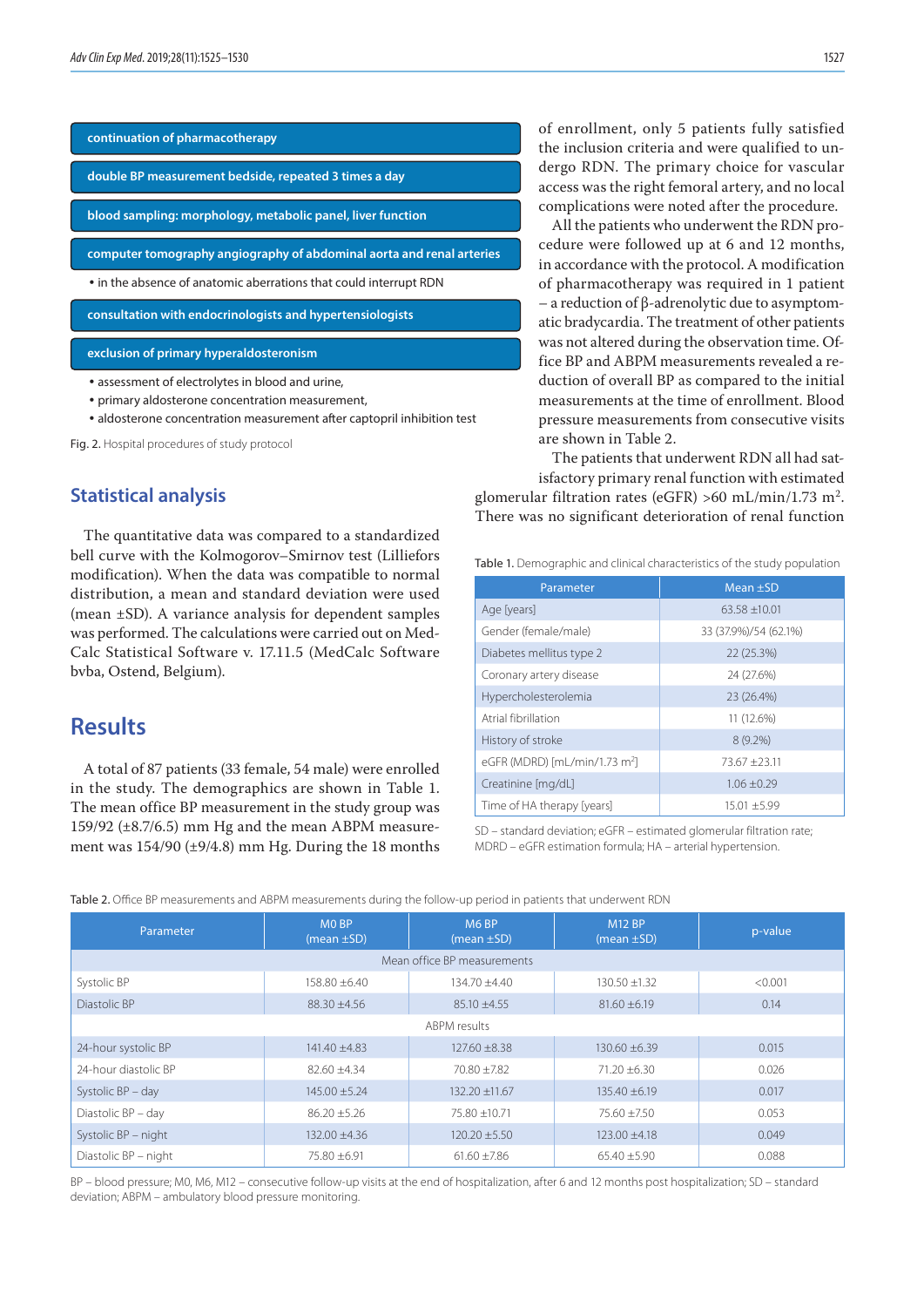**continuation of pharmacotherapy**

**double BP measurement bedside, repeated 3 times a day**

**blood sampling: morphology, metabolic panel, liver function**

**computer tomography angiography of abdominal aorta and renal arteries**

**•** in the absence of anatomic aberrations that could interrupt RDN

**consultation with endocrinologists and hypertensiologists**

**exclusion of primary hyperaldosteronism**

- assessment of electrolytes in blood and urine,
- primary aldosterone concentration measurement,
- aldosterone concentration measurement after captopril inhibition test

Fig. 2. Hospital procedures of study protocol

### **Statistical analysis**

The quantitative data was compared to a standardized bell curve with the Kolmogorov–Smirnov test (Lilliefors modification). When the data was compatible to normal distribution, a mean and standard deviation were used (mean ±SD). A variance analysis for dependent samples was performed. The calculations were carried out on Med-Calc Statistical Software v. 17.11.5 (MedCalc Software bvba, Ostend, Belgium).

### **Results**

A total of 87 patients (33 female, 54 male) were enrolled in the study. The demographics are shown in Table 1. The mean office BP measurement in the study group was 159/92 (±8.7/6.5) mm Hg and the mean ABPM measurement was 154/90 (±9/4.8) mm Hg. During the 18 months of enrollment, only 5 patients fully satisfied the inclusion criteria and were qualified to undergo RDN. The primary choice for vascular access was the right femoral artery, and no local complications were noted after the procedure.

All the patients who underwent the RDN procedure were followed up at 6 and 12 months, in accordance with the protocol. A modification of pharmacotherapy was required in 1 patient – a reduction of β-adrenolytic due to asymptomatic bradycardia. The treatment of other patients was not altered during the observation time. Office BP and ABPM measurements revealed a reduction of overall BP as compared to the initial measurements at the time of enrollment. Blood pressure measurements from consecutive visits are shown in Table 2.

The patients that underwent RDN all had satisfactory primary renal function with estimated glomerular filtration rates (eGFR) >60 mL/min/1.73 m<sup>2</sup>. There was no significant deterioration of renal function

Table 1. Demographic and clinical characteristics of the study population

| Parameter                                 | Mean $\pm$ SD         |
|-------------------------------------------|-----------------------|
| Age [years]                               | $63.58 + 10.01$       |
| Gender (female/male)                      | 33 (37.9%)/54 (62.1%) |
| Diabetes mellitus type 2                  | 22 (25.3%)            |
| Coronary artery disease                   | 24 (27.6%)            |
| Hypercholesterolemia                      | 23 (26.4%)            |
| Atrial fibrillation                       | 11 (12.6%)            |
| History of stroke                         | $8(9.2\%)$            |
| eGFR (MDRD) [mL/min/1.73 m <sup>2</sup> ] | $73.67 + 23.11$       |
| Creatinine [mg/dL]                        | $1.06 \pm 0.29$       |
| Time of HA therapy [years]                | $15.01 + 5.99$        |

SD – standard deviation; eGFR – estimated glomerular filtration rate; MDRD – eGFR estimation formula; HA – arterial hypertension.

Table 2. Office BP measurements and ABPM measurements during the follow-up period in patients that underwent RDN

| Parameter                   | MO <sub>BP</sub><br>(mean $\pm$ SD) | M <sub>6</sub> BP<br>$(mean \pm SD)$ | <b>M12 BP</b><br>(mean $\pm$ SD) | p-value |  |
|-----------------------------|-------------------------------------|--------------------------------------|----------------------------------|---------|--|
| Mean office BP measurements |                                     |                                      |                                  |         |  |
| Systolic BP                 | $158.80 \pm 6.40$                   | 134.70 ±4.40                         | $130.50 \pm 1.32$                | < 0.001 |  |
| Diastolic BP                | $88.30 \pm 4.56$                    | $85.10 \pm 4.55$                     | $81.60 \pm 6.19$                 | 0.14    |  |
| ABPM results                |                                     |                                      |                                  |         |  |
| 24-hour systolic BP         | 141.40 ±4.83                        | $127.60 \pm 8.38$                    | $130.60 \pm 6.39$                | 0.015   |  |
| 24-hour diastolic BP        | $82.60 \pm 4.34$                    | 70.80 ±7.82                          | $71.20 \pm 6.30$                 | 0.026   |  |
| Systolic BP - day           | $145.00 \pm 5.24$                   | $132.20 \pm 11.67$                   | $135.40 \pm 6.19$                | 0.017   |  |
| Diastolic BP - day          | $86.20 \pm 5.26$                    | 75.80 ±10.71                         | 75.60 ±7.50                      | 0.053   |  |
| Systolic BP - night         | 132.00 ±4.36                        | $120.20 \pm 5.50$                    | $123.00 \pm 4.18$                | 0.049   |  |
| Diastolic BP - night        | 75.80 ±6.91                         | $61.60 \pm 7.86$                     | $65.40 \pm 5.90$                 | 0.088   |  |

BP – blood pressure; M0, M6, M12 – consecutive follow-up visits at the end of hospitalization, after 6 and 12 months post hospitalization; SD – standard deviation; ABPM – ambulatory blood pressure monitoring.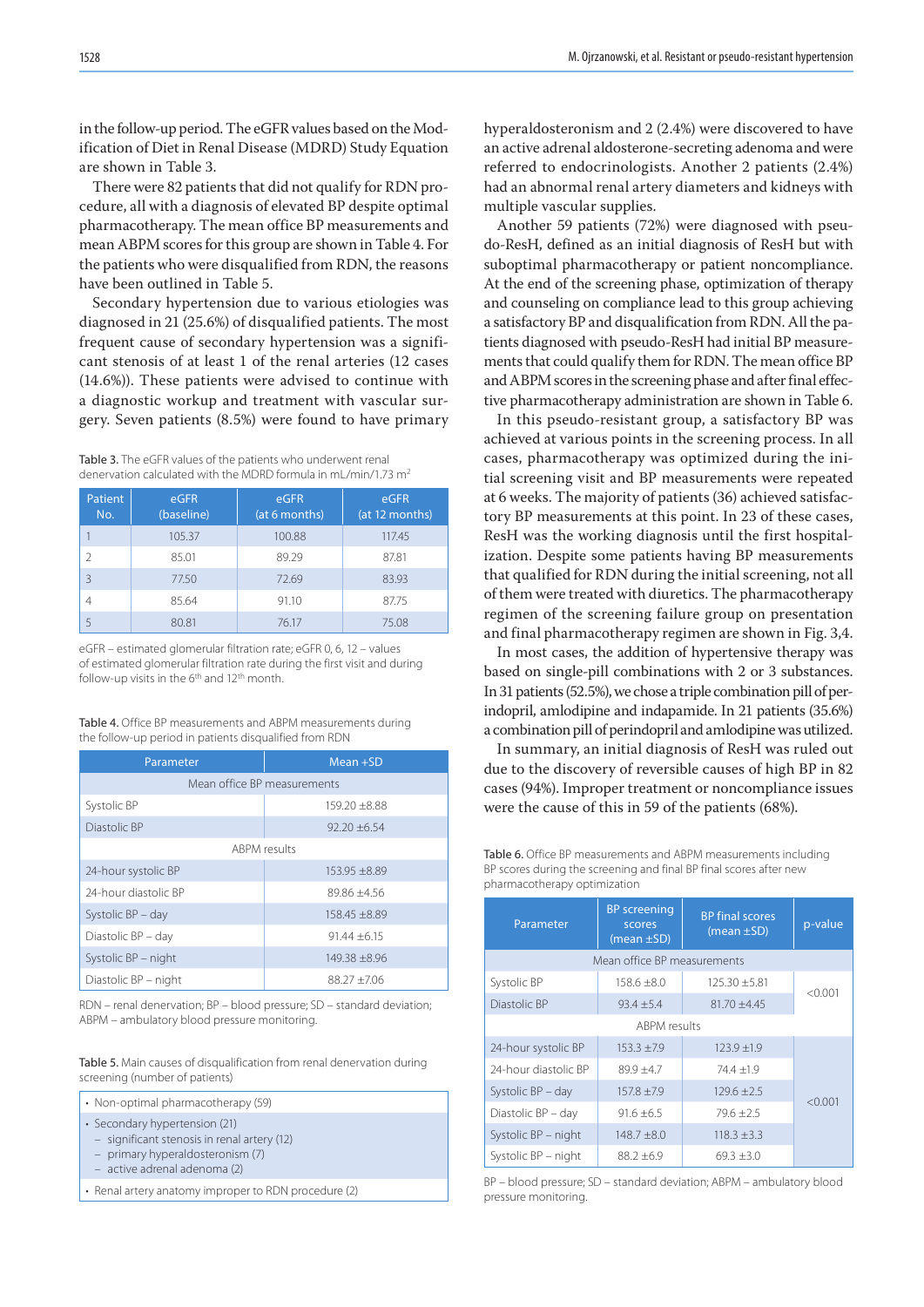in the follow-up period. The eGFR values based on the Modification of Diet in Renal Disease (MDRD) Study Equation are shown in Table 3.

There were 82 patients that did not qualify for RDN procedure, all with a diagnosis of elevated BP despite optimal pharmacotherapy. The mean office BP measurements and mean ABPM scores for this group are shown in Table 4. For the patients who were disqualified from RDN, the reasons have been outlined in Table 5.

Secondary hypertension due to various etiologies was diagnosed in 21 (25.6%) of disqualified patients. The most frequent cause of secondary hypertension was a significant stenosis of at least 1 of the renal arteries (12 cases (14.6%)). These patients were advised to continue with a diagnostic workup and treatment with vascular surgery. Seven patients (8.5%) were found to have primary

Table 3. The eGFR values of the patients who underwent renal denervation calculated with the MDRD formula in mL/min/1.73 m2

| Patient<br>No. | eGFR<br>(baseline) | eGFR<br>(at 6 months) | eGFR<br>(at 12 months) |
|----------------|--------------------|-----------------------|------------------------|
|                | 105.37             | 100.88                | 117.45                 |
| 2              | 85.01              | 89.29                 | 87.81                  |
| 3              | 77.50              | 72.69                 | 83.93                  |
| 4              | 85.64              | 91.10                 | 87.75                  |
|                | 80.81              | 76.17                 | 75.08                  |

eGFR – estimated glomerular filtration rate; eGFR 0, 6, 12 – values of estimated glomerular filtration rate during the first visit and during follow-up visits in the  $6<sup>th</sup>$  and  $12<sup>th</sup>$  month.

Table 4. Office BP measurements and ABPM measurements during the follow-up period in patients disqualified from RDN

| Parameter                   | $Mean + SD$      |  |  |  |
|-----------------------------|------------------|--|--|--|
| Mean office BP measurements |                  |  |  |  |
| Systolic BP                 | $159.20 + 8.88$  |  |  |  |
| Diastolic BP                | $92.20 \pm 6.54$ |  |  |  |
|                             | ABPM results     |  |  |  |
| 24-hour systolic BP         | $153.95 + 8.89$  |  |  |  |
| 24-hour diastolic BP        | $89.86 + 4.56$   |  |  |  |
| Systolic BP - day           | $158.45 + 8.89$  |  |  |  |
| Diastolic BP - day          | $91.44 + 6.15$   |  |  |  |
| Systolic BP - night         | 149.38 ±8.96     |  |  |  |
| Diastolic BP - night        | $88.27 + 7.06$   |  |  |  |

RDN – renal denervation; BP – blood pressure; SD – standard deviation; ABPM – ambulatory blood pressure monitoring.

Table 5. Main causes of disqualification from renal denervation during screening (number of patients)

- Non-optimal pharmacotherapy (59)
- Secondary hypertension (21)
- significant stenosis in renal artery (12)
- primary hyperaldosteronism (7)
- active adrenal adenoma (2)
- Renal artery anatomy improper to RDN procedure (2)

hyperaldosteronism and 2 (2.4%) were discovered to have an active adrenal aldosterone-secreting adenoma and were referred to endocrinologists. Another 2 patients (2.4%) had an abnormal renal artery diameters and kidneys with multiple vascular supplies.

Another 59 patients (72%) were diagnosed with pseudo-ResH, defined as an initial diagnosis of ResH but with suboptimal pharmacotherapy or patient noncompliance. At the end of the screening phase, optimization of therapy and counseling on compliance lead to this group achieving a satisfactory BP and disqualification from RDN. All the patients diagnosed with pseudo-ResH had initial BP measurements that could qualify them for RDN. The mean office BP and ABPM scores in the screening phase and after final effective pharmacotherapy administration are shown in Table 6.

In this pseudo-resistant group, a satisfactory BP was achieved at various points in the screening process. In all cases, pharmacotherapy was optimized during the initial screening visit and BP measurements were repeated at 6 weeks. The majority of patients (36) achieved satisfactory BP measurements at this point. In 23 of these cases, ResH was the working diagnosis until the first hospitalization. Despite some patients having BP measurements that qualified for RDN during the initial screening, not all of them were treated with diuretics. The pharmacotherapy regimen of the screening failure group on presentation and final pharmacotherapy regimen are shown in Fig. 3,4.

In most cases, the addition of hypertensive therapy was based on single-pill combinations with 2 or 3 substances. In 31 patients (52.5%), we chose a triple combination pill of perindopril, amlodipine and indapamide. In 21 patients (35.6%) a combination pill of perindopril and amlodipine was utilized.

In summary, an initial diagnosis of ResH was ruled out due to the discovery of reversible causes of high BP in 82 cases (94%). Improper treatment or noncompliance issues were the cause of this in 59 of the patients (68%).

Table 6. Office BP measurements and ABPM measurements including BP scores during the screening and final BP final scores after new pharmacotherapy optimization

| Parameter                   | <b>BP</b> screening<br>scores<br>$(mean \pm SD)$ | <b>BP</b> final scores<br>(mean ± SD) | p-value |
|-----------------------------|--------------------------------------------------|---------------------------------------|---------|
| Mean office BP measurements |                                                  |                                       |         |
| Systolic BP                 | $158.6 + 8.0$                                    | $125.30 + 5.81$                       |         |
| Diastolic BP                | $93.4 + 5.4$                                     | $81.70 + 4.45$                        | < 0.001 |
| <b>ABPM</b> results         |                                                  |                                       |         |
| 24-hour systolic BP         | $153.3 + 7.9$                                    | $123.9 + 1.9$                         |         |
| 24-hour diastolic BP        | $89.9 + 4.7$                                     | $74.4 + 1.9$                          |         |
| Systolic BP - day           | $157.8 + 7.9$                                    | $129.6 + 2.5$                         | < 0.001 |
| Diastolic BP - day          | $91.6 + 6.5$                                     | $79.6 + 2.5$                          |         |
| Systolic BP - night         | $148.7 + 8.0$                                    | $118.3 \pm 3.3$                       |         |
| Systolic BP - night         | $88.2 + 6.9$                                     | $69.3 + 3.0$                          |         |

BP – blood pressure; SD – standard deviation; ABPM – ambulatory blood pressure monitoring.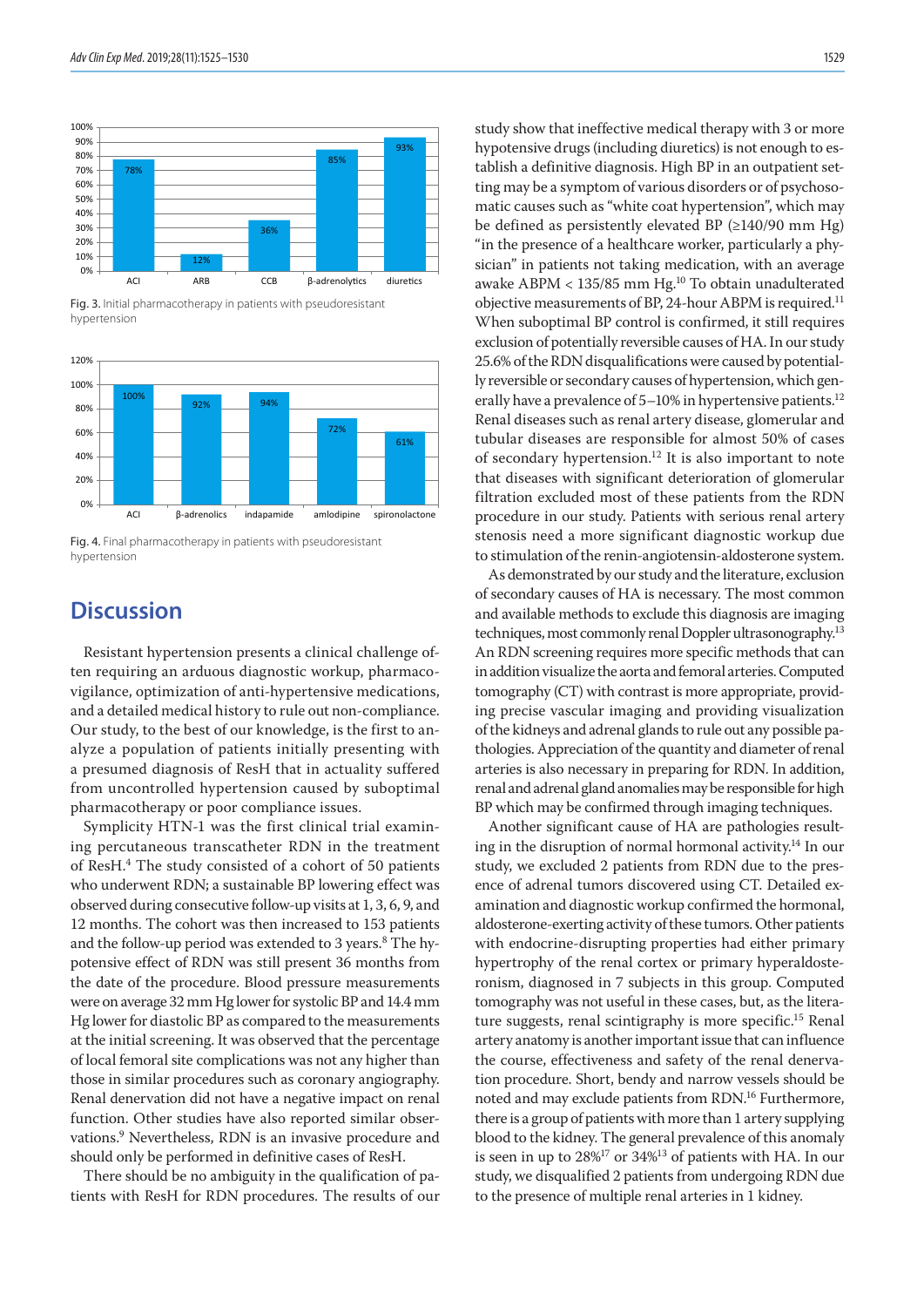

Fig. 3. Initial pharmacotherapy in patients with pseudoresistant hypertension



Fig. 4. Final pharmacotherapy in patients with pseudoresistant hypertension

## **Discussion**

Resistant hypertension presents a clinical challenge often requiring an arduous diagnostic workup, pharmacovigilance, optimization of anti-hypertensive medications, and a detailed medical history to rule out non-compliance. Our study, to the best of our knowledge, is the first to analyze a population of patients initially presenting with a presumed diagnosis of ResH that in actuality suffered from uncontrolled hypertension caused by suboptimal pharmacotherapy or poor compliance issues.

Symplicity HTN-1 was the first clinical trial examining percutaneous transcatheter RDN in the treatment of ResH.4 The study consisted of a cohort of 50 patients who underwent RDN; a sustainable BP lowering effect was observed during consecutive follow-up visits at 1, 3, 6, 9, and 12 months. The cohort was then increased to 153 patients and the follow-up period was extended to 3 years.<sup>8</sup> The hypotensive effect of RDN was still present 36 months from the date of the procedure. Blood pressure measurements were on average 32 mm Hg lower for systolic BP and 14.4 mm Hg lower for diastolic BP as compared to the measurements at the initial screening. It was observed that the percentage of local femoral site complications was not any higher than those in similar procedures such as coronary angiography. Renal denervation did not have a negative impact on renal function. Other studies have also reported similar observations.9 Nevertheless, RDN is an invasive procedure and should only be performed in definitive cases of ResH.

There should be no ambiguity in the qualification of patients with ResH for RDN procedures. The results of our study show that ineffective medical therapy with 3 or more hypotensive drugs (including diuretics) is not enough to establish a definitive diagnosis. High BP in an outpatient setting may be a symptom of various disorders or of psychosomatic causes such as "white coat hypertension", which may be defined as persistently elevated BP  $(\geq 140/90 \text{ mm Hg})$ "in the presence of a healthcare worker, particularly a physician" in patients not taking medication, with an average awake ABPM < 135/85 mm Hg.10 To obtain unadulterated objective measurements of BP, 24-hour ABPM is required.<sup>11</sup> When suboptimal BP control is confirmed, it still requires exclusion of potentially reversible causes of HA. In our study 25.6% of the RDN disqualifications were caused by potentially reversible or secondary causes of hypertension, which generally have a prevalence of  $5-10\%$  in hypertensive patients.<sup>12</sup> Renal diseases such as renal artery disease, glomerular and tubular diseases are responsible for almost 50% of cases of secondary hypertension.12 It is also important to note that diseases with significant deterioration of glomerular filtration excluded most of these patients from the RDN procedure in our study. Patients with serious renal artery stenosis need a more significant diagnostic workup due to stimulation of the renin-angiotensin-aldosterone system.

As demonstrated by our study and the literature, exclusion of secondary causes of HA is necessary. The most common and available methods to exclude this diagnosis are imaging techniques, most commonly renal Doppler ultrasonography.13 An RDN screening requires more specific methods that can in addition visualize the aorta and femoral arteries. Computed tomography (CT) with contrast is more appropriate, providing precise vascular imaging and providing visualization of the kidneys and adrenal glands to rule out any possible pathologies. Appreciation of the quantity and diameter of renal arteries is also necessary in preparing for RDN. In addition, renal and adrenal gland anomalies may be responsible for high BP which may be confirmed through imaging techniques.

Another significant cause of HA are pathologies resulting in the disruption of normal hormonal activity.14 In our study, we excluded 2 patients from RDN due to the presence of adrenal tumors discovered using CT. Detailed examination and diagnostic workup confirmed the hormonal, aldosterone-exerting activity of these tumors. Other patients with endocrine-disrupting properties had either primary hypertrophy of the renal cortex or primary hyperaldosteronism, diagnosed in 7 subjects in this group. Computed tomography was not useful in these cases, but, as the literature suggests, renal scintigraphy is more specific.15 Renal artery anatomy is another important issue that can influence the course, effectiveness and safety of the renal denervation procedure. Short, bendy and narrow vessels should be noted and may exclude patients from RDN.16 Furthermore, there is a group of patients with more than 1 artery supplying blood to the kidney. The general prevalence of this anomaly is seen in up to 28%17 or 34%13 of patients with HA. In our study, we disqualified 2 patients from undergoing RDN due to the presence of multiple renal arteries in 1 kidney.